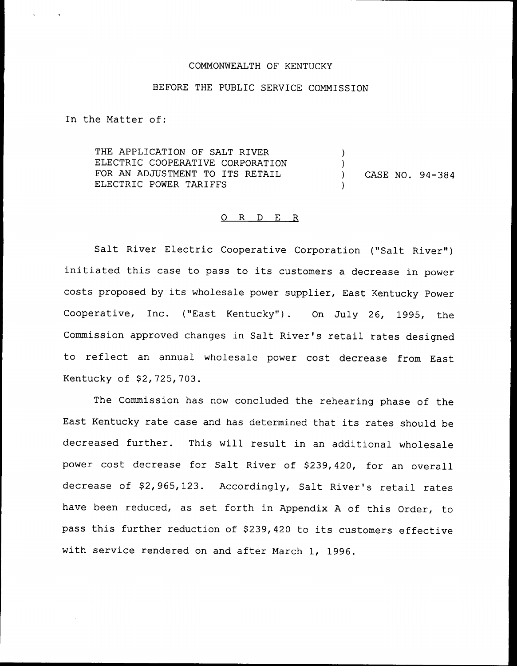#### COMMONWEALTH OF KENTUCKY

# BEFORE THE PUBLIC SERVICE COMMISSION

In the Matter of:

 $\sim$   $\alpha$ 

THE APPLICATION OF SALT RIVER ELECTRIC COOPERATIVE CORPORATION FOR AN ADJUSTMENT TO ITS RETAIL ELECTRIC POWER TARIFFS )  $\lambda$ ) CASE NO. 94-384 )

#### 0 R <sup>D</sup> E R

Salt River Electric Cooperative Corporation ("Salt River") initiated this case to pass to its customers <sup>a</sup> decrease in power costs proposed by its wholesale power supplier, East Kentucky Power Cooperative, Inc. ("East Kentucky"). On July 26, 1995, the Commission approved changes in Salt River's retail rates designed to reflect an annual wholesale power cost decrease from East Kentucky of \$2,725,703.

The Commission has now concluded the rehearing phase of the East Kentucky rate case and has determined that its rates should be decreased further. This will result in an additional wholesale power cost decrease for Salt River of \$239,420, for an overall decrease of \$2,965,123. Accordingly, Salt River's retail rates have been reduced, as set forth in Appendix <sup>A</sup> of this Order, to pass this further reduction of \$239,420 to its customers effective with service rendered on and after March 1, 1996.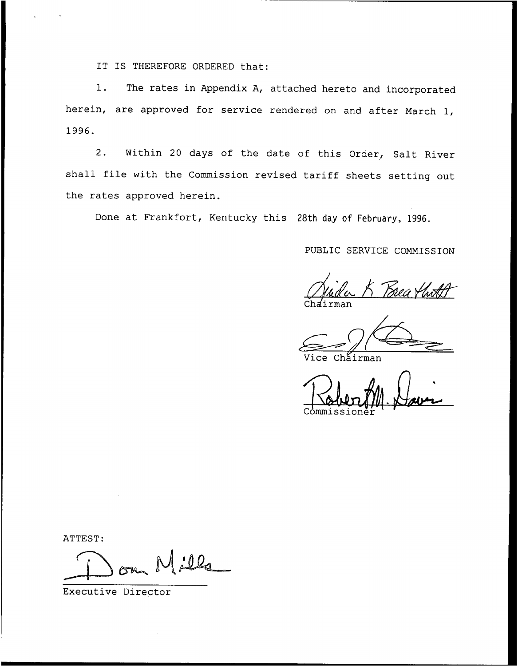IT IS THEREFORE ORDERED that:

1. The rates in Appendix A, attached hereto and incorporated herein, are approved for service rendered on and after March 1, 1996.

2. Within <sup>20</sup> days of the date of this Order, Salt River shall file with the Commission revised tariff sheets setting out the rates approved herein.

Done at Frankfort, Kentucky this 28th day of February, 1996.

# PUBLIC SERVICE COMMISSION

Brea thr Ch*a*irma

Chairman

V < Commissione

ATTEST:

 $000$ 

Executive Director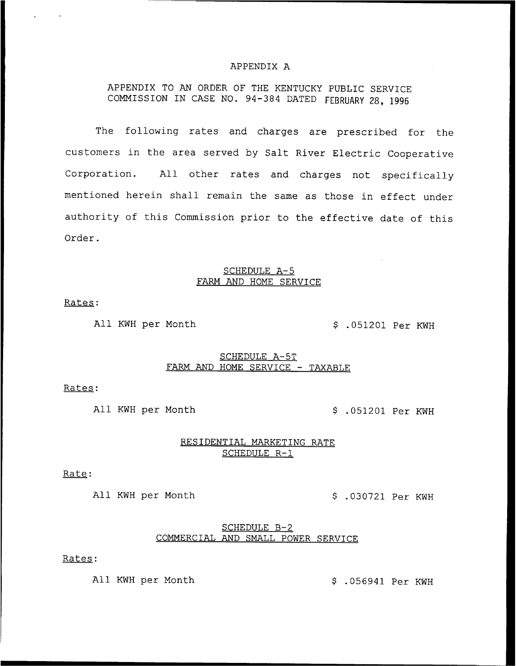#### APPENDIX A

# APPENDIX TO AN ORDER OF THE KENTUCKY PUBLIC SERVICE COMMISSION IN CASE NO. 94-384 DATED FEBRUARY 28, <sup>1996</sup>

The following rates and charges are prescribed for the customers in the area served by Salt River Electric Cooperative Corporation. All other rates and charges not specifically mentioned herein shall remain the same as those in effect under authority of this Commission prior to the effective date of this Order.

#### SCHEDULE A—5 FARM AND HOME SERVICE

Rates:

All KWH per Month .051201 Per KWH

#### SCHEDULE A-5T FARM AND HOME SERVICE — TAXABLE

Rates:

All KWH per Month  $$.051201$  Per KWH

# RESIDENTIAL MARKETING RATE SCHEDULE R-1

Rate:

All KWH per Month  $$.030721$  Per KWH

#### SCHEDULE B-2 COMMERCIAL AND SMALL POWER SERVICE

#### Rates:

All KWH per Month  $$.056941$  Per KWH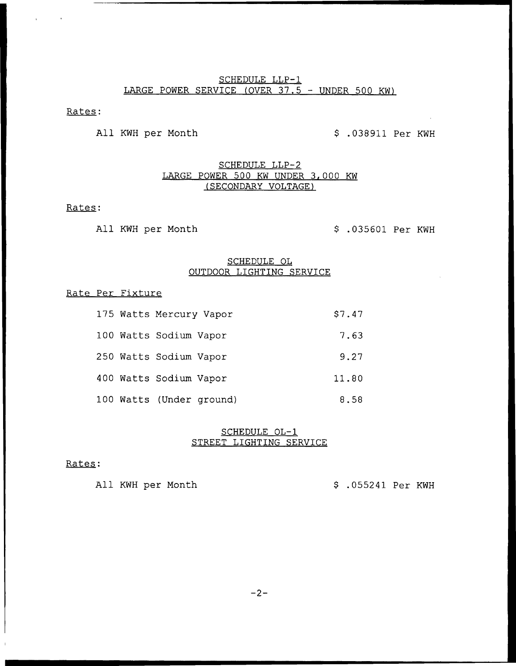# SCHEDULE LLP-1 LARGE POWER SERVICE (OVER 37.5 — UNDER 500 KW}

# Rates:

All KWH per Month  $$.038911$  Per KWH

# SCHEDULE LLP-2 LARGE POWER 500 KW UNDER 3,000 KW (SECONDARY VOLTAGE)

### Rates:

All KWH per Month  $$ .035601$  Per KWH

### SCHEDULE OL OUTDOOR LIGHTING SERVICE

#### Rate Per Fixture

|  | 175 Watts Mercury Vapor |                          | \$7.47 |
|--|-------------------------|--------------------------|--------|
|  | 100 Watts Sodium Vapor  |                          | 7.63   |
|  | 250 Watts Sodium Vapor  |                          | 9.27   |
|  | 400 Watts Sodium Vapor  |                          | 11.80  |
|  |                         | 100 Watts (Under ground) | 8.58   |

#### SCHEDULE OL-1 STREET LIGHTING SERVICE

### Rates:

All KWH per Month  $$.055241$  Per KWH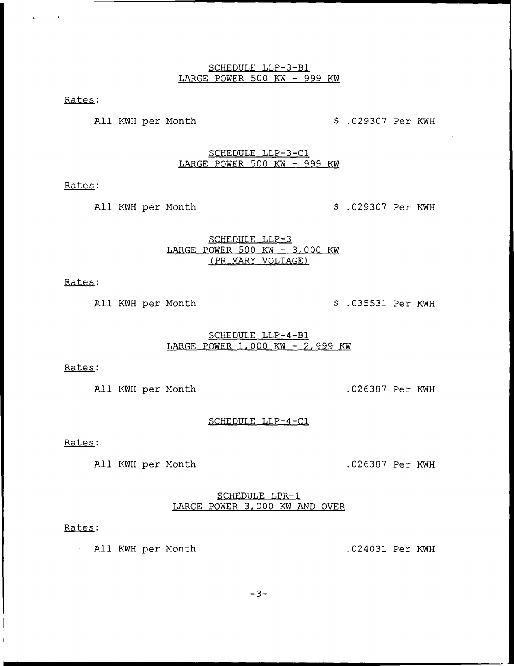#### SCHEDULE LLP-3-Bl LARGE POWER 500 KW — 999 KW

Rates:

 $\sim 100$ 

All KWH per Month  $\frac{1}{2}$  .029307 Per KWH

SCHEDUIE LLP-3-C1 LARGE POWER 500 KW — 999 KW

Rates:

All KWH per Month  $$.029307$  Per KWH

SCHEDULE LLP-3 LARGE POWER 500 KW — 3,000 KW (PRIMARY VOLTAGE)

Rates:

All KWH per Month  $\beta$ .035531 Per KWH

# SCHEDULE LLP-4-Bl LARGE POWER 1,000 KW — 2,999 KW

Rates:

All KWH per Month .026387 Per KWH

SCHEDULE LLP-4-C1

Rates:

All KWH per Month .026387 Per KWH

SCHEDULE LPR-1 LARGE POWER 3.000 KW AND OVER

#### Rates:

All KWH per Month .024031 Per KWH